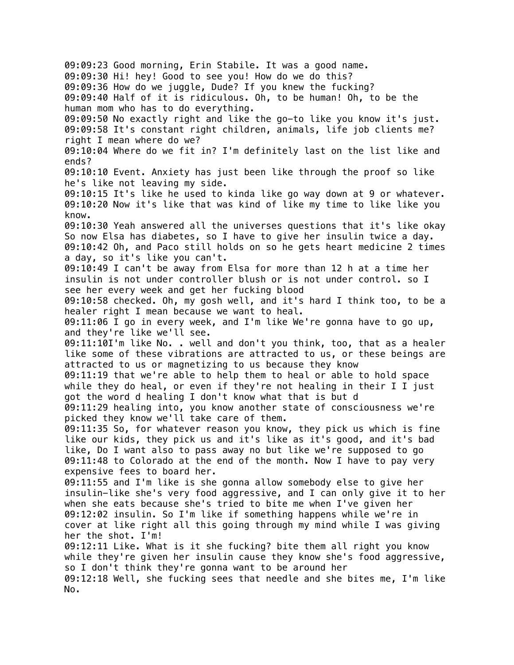09:09:23 Good morning, Erin Stabile. It was a good name. 09:09:30 Hi! hey! Good to see you! How do we do this? 09:09:36 How do we juggle, Dude? If you knew the fucking? 09:09:40 Half of it is ridiculous. Oh, to be human! Oh, to be the human mom who has to do everything. 09:09:50 No exactly right and like the go-to like you know it's just. 09:09:58 It's constant right children, animals, life job clients me? right I mean where do we? 09:10:04 Where do we fit in? I'm definitely last on the list like and ends? 09:10:10 Event. Anxiety has just been like through the proof so like he's like not leaving my side. 09:10:15 It's like he used to kinda like go way down at 9 or whatever. 09:10:20 Now it's like that was kind of like my time to like like you know. 09:10:30 Yeah answered all the universes questions that it's like okay So now Elsa has diabetes, so I have to give her insulin twice a day. 09:10:42 Oh, and Paco still holds on so he gets heart medicine 2 times a day, so it's like you can't. 09:10:49 I can't be away from Elsa for more than 12 h at a time her insulin is not under controller blush or is not under control. so I see her every week and get her fucking blood 09:10:58 checked. Oh, my gosh well, and it's hard I think too, to be a healer right I mean because we want to heal. 09:11:06 I go in every week, and I'm like We're gonna have to go up, and they're like we'll see. 09:11:10I'm like No. . well and don't you think, too, that as a healer like some of these vibrations are attracted to us, or these beings are attracted to us or magnetizing to us because they know 09:11:19 that we're able to help them to heal or able to hold space while they do heal, or even if they're not healing in their I I just got the word d healing I don't know what that is but d 09:11:29 healing into, you know another state of consciousness we're picked they know we'll take care of them. 09:11:35 So, for whatever reason you know, they pick us which is fine like our kids, they pick us and it's like as it's good, and it's bad like, Do I want also to pass away no but like we're supposed to go 09:11:48 to Colorado at the end of the month. Now I have to pay very expensive fees to board her. 09:11:55 and I'm like is she gonna allow somebody else to give her insulin-like she's very food aggressive, and I can only give it to her when she eats because she's tried to bite me when I've given her 09:12:02 insulin. So I'm like if something happens while we're in cover at like right all this going through my mind while I was giving her the shot. I'm! 09:12:11 Like. What is it she fucking? bite them all right you know while they're given her insulin cause they know she's food aggressive, so I don't think they're gonna want to be around her 09:12:18 Well, she fucking sees that needle and she bites me, I'm like No.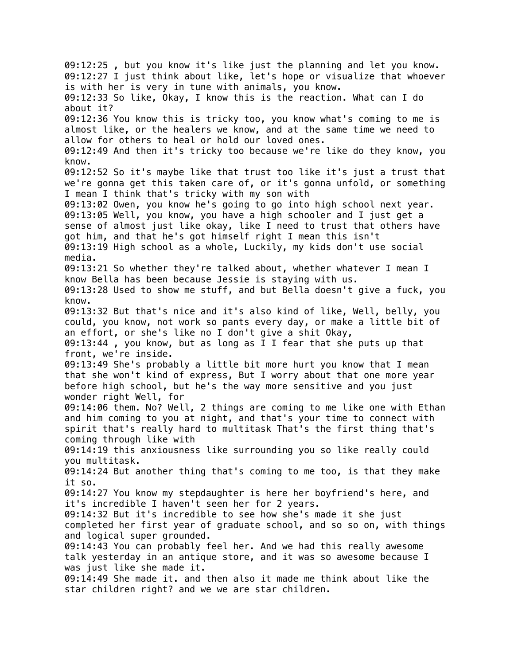09:12:25 , but you know it's like just the planning and let you know. 09:12:27 I just think about like, let's hope or visualize that whoever is with her is very in tune with animals, you know. 09:12:33 So like, Okay, I know this is the reaction. What can I do about it? 09:12:36 You know this is tricky too, you know what's coming to me is almost like, or the healers we know, and at the same time we need to allow for others to heal or hold our loved ones. 09:12:49 And then it's tricky too because we're like do they know, you know. 09:12:52 So it's maybe like that trust too like it's just a trust that we're gonna get this taken care of, or it's gonna unfold, or something I mean I think that's tricky with my son with 09:13:02 Owen, you know he's going to go into high school next year. 09:13:05 Well, you know, you have a high schooler and I just get a sense of almost just like okay, like I need to trust that others have got him, and that he's got himself right I mean this isn't 09:13:19 High school as a whole, Luckily, my kids don't use social media. 09:13:21 So whether they're talked about, whether whatever I mean I know Bella has been because Jessie is staying with us. 09:13:28 Used to show me stuff, and but Bella doesn't give a fuck, you know. 09:13:32 But that's nice and it's also kind of like, Well, belly, you could, you know, not work so pants every day, or make a little bit of an effort, or she's like no I don't give a shit Okay, 09:13:44 , you know, but as long as I I fear that she puts up that front, we're inside. 09:13:49 She's probably a little bit more hurt you know that I mean that she won't kind of express, But I worry about that one more year before high school, but he's the way more sensitive and you just wonder right Well, for 09:14:06 them. No? Well, 2 things are coming to me like one with Ethan and him coming to you at night, and that's your time to connect with spirit that's really hard to multitask That's the first thing that's coming through like with 09:14:19 this anxiousness like surrounding you so like really could you multitask. 09:14:24 But another thing that's coming to me too, is that they make it so. 09:14:27 You know my stepdaughter is here her boyfriend's here, and it's incredible I haven't seen her for 2 years. 09:14:32 But it's incredible to see how she's made it she just completed her first year of graduate school, and so so on, with things and logical super grounded. 09:14:43 You can probably feel her. And we had this really awesome talk yesterday in an antique store, and it was so awesome because I was just like she made it. 09:14:49 She made it. and then also it made me think about like the star children right? and we we are star children.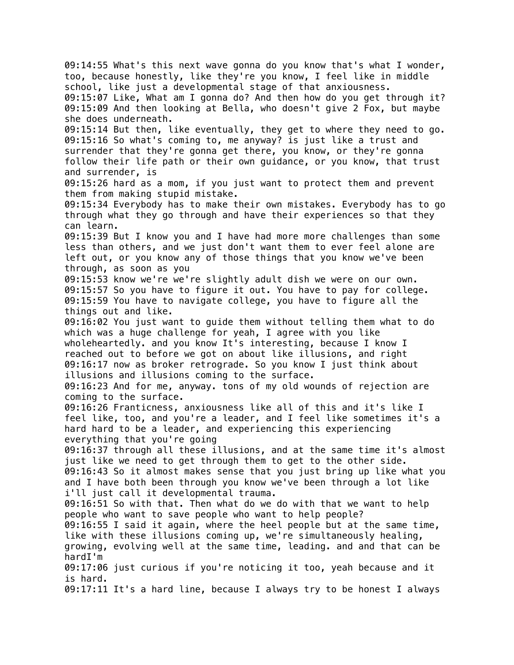09:14:55 What's this next wave gonna do you know that's what I wonder, too, because honestly, like they're you know, I feel like in middle school, like just a developmental stage of that anxiousness. 09:15:07 Like, What am I gonna do? And then how do you get through it? 09:15:09 And then looking at Bella, who doesn't give 2 Fox, but maybe she does underneath. 09:15:14 But then, like eventually, they get to where they need to go. 09:15:16 So what's coming to, me anyway? is just like a trust and surrender that they're gonna get there, you know, or they're gonna follow their life path or their own guidance, or you know, that trust and surrender, is 09:15:26 hard as a mom, if you just want to protect them and prevent them from making stupid mistake. 09:15:34 Everybody has to make their own mistakes. Everybody has to go through what they go through and have their experiences so that they can learn. 09:15:39 But I know you and I have had more more challenges than some less than others, and we just don't want them to ever feel alone are left out, or you know any of those things that you know we've been through, as soon as you 09:15:53 know we're we're slightly adult dish we were on our own. 09:15:57 So you have to figure it out. You have to pay for college. 09:15:59 You have to navigate college, you have to figure all the things out and like. 09:16:02 You just want to guide them without telling them what to do which was a huge challenge for yeah, I agree with you like wholeheartedly. and you know It's interesting, because I know I reached out to before we got on about like illusions, and right 09:16:17 now as broker retrograde. So you know I just think about illusions and illusions coming to the surface. 09:16:23 And for me, anyway. tons of my old wounds of rejection are coming to the surface. 09:16:26 Franticness, anxiousness like all of this and it's like I feel like, too, and you're a leader, and I feel like sometimes it's a hard hard to be a leader, and experiencing this experiencing everything that you're going 09:16:37 through all these illusions, and at the same time it's almost just like we need to get through them to get to the other side. 09:16:43 So it almost makes sense that you just bring up like what you and I have both been through you know we've been through a lot like i'll just call it developmental trauma. 09:16:51 So with that. Then what do we do with that we want to help people who want to save people who want to help people? 09:16:55 I said it again, where the heel people but at the same time, like with these illusions coming up, we're simultaneously healing, growing, evolving well at the same time, leading. and and that can be hardI'm 09:17:06 just curious if you're noticing it too, yeah because and it is hard. 09:17:11 It's a hard line, because I always try to be honest I always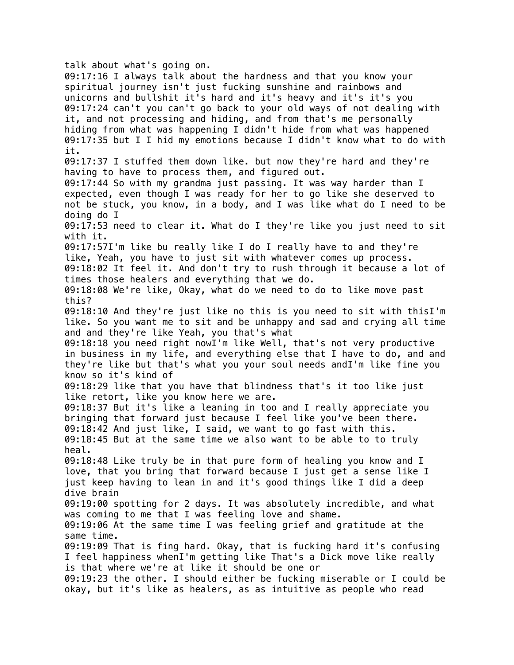## talk about what's going on.

09:17:16 I always talk about the hardness and that you know your spiritual journey isn't just fucking sunshine and rainbows and unicorns and bullshit it's hard and it's heavy and it's it's you 09:17:24 can't you can't go back to your old ways of not dealing with it, and not processing and hiding, and from that's me personally hiding from what was happening I didn't hide from what was happened 09:17:35 but I I hid my emotions because I didn't know what to do with it. 09:17:37 I stuffed them down like. but now they're hard and they're having to have to process them, and figured out. 09:17:44 So with my grandma just passing. It was way harder than I expected, even though I was ready for her to go like she deserved to not be stuck, you know, in a body, and I was like what do I need to be doing do I 09:17:53 need to clear it. What do I they're like you just need to sit with it. 09:17:57I'm like bu really like I do I really have to and they're like, Yeah, you have to just sit with whatever comes up process. 09:18:02 It feel it. And don't try to rush through it because a lot of times those healers and everything that we do. 09:18:08 We're like, Okay, what do we need to do to like move past this? 09:18:10 And they're just like no this is you need to sit with thisI'm like. So you want me to sit and be unhappy and sad and crying all time and and they're like Yeah, you that's what 09:18:18 you need right nowI'm like Well, that's not very productive in business in my life, and everything else that I have to do, and and they're like but that's what you your soul needs andI'm like fine you know so it's kind of 09:18:29 like that you have that blindness that's it too like just like retort, like you know here we are. 09:18:37 But it's like a leaning in too and I really appreciate you bringing that forward just because I feel like you've been there. 09:18:42 And just like, I said, we want to go fast with this. 09:18:45 But at the same time we also want to be able to to truly heal. 09:18:48 Like truly be in that pure form of healing you know and I love, that you bring that forward because I just get a sense like I just keep having to lean in and it's good things like I did a deep dive brain 09:19:00 spotting for 2 days. It was absolutely incredible, and what was coming to me that I was feeling love and shame. 09:19:06 At the same time I was feeling grief and gratitude at the same time. 09:19:09 That is fing hard. Okay, that is fucking hard it's confusing I feel happiness whenI'm getting like That's a Dick move like really is that where we're at like it should be one or 09:19:23 the other. I should either be fucking miserable or I could be okay, but it's like as healers, as as intuitive as people who read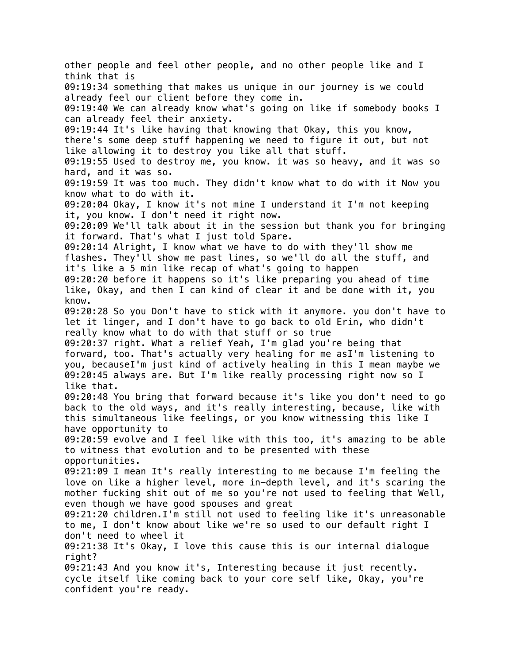other people and feel other people, and no other people like and I think that is 09:19:34 something that makes us unique in our journey is we could already feel our client before they come in. 09:19:40 We can already know what's going on like if somebody books I can already feel their anxiety. 09:19:44 It's like having that knowing that Okay, this you know, there's some deep stuff happening we need to figure it out, but not like allowing it to destroy you like all that stuff. 09:19:55 Used to destroy me, you know. it was so heavy, and it was so hard, and it was so. 09:19:59 It was too much. They didn't know what to do with it Now you know what to do with it. 09:20:04 Okay, I know it's not mine I understand it I'm not keeping it, you know. I don't need it right now. 09:20:09 We'll talk about it in the session but thank you for bringing it forward. That's what I just told Spare. 09:20:14 Alright, I know what we have to do with they'll show me flashes. They'll show me past lines, so we'll do all the stuff, and it's like a 5 min like recap of what's going to happen 09:20:20 before it happens so it's like preparing you ahead of time like, Okay, and then I can kind of clear it and be done with it, you know. 09:20:28 So you Don't have to stick with it anymore. you don't have to let it linger, and I don't have to go back to old Erin, who didn't really know what to do with that stuff or so true 09:20:37 right. What a relief Yeah, I'm glad you're being that forward, too. That's actually very healing for me asI'm listening to you, becauseI'm just kind of actively healing in this I mean maybe we 09:20:45 always are. But I'm like really processing right now so I like that. 09:20:48 You bring that forward because it's like you don't need to go back to the old ways, and it's really interesting, because, like with this simultaneous like feelings, or you know witnessing this like I have opportunity to 09:20:59 evolve and I feel like with this too, it's amazing to be able to witness that evolution and to be presented with these opportunities. 09:21:09 I mean It's really interesting to me because I'm feeling the love on like a higher level, more in-depth level, and it's scaring the mother fucking shit out of me so you're not used to feeling that Well, even though we have good spouses and great 09:21:20 children.I'm still not used to feeling like it's unreasonable to me, I don't know about like we're so used to our default right I don't need to wheel it 09:21:38 It's Okay, I love this cause this is our internal dialogue right? 09:21:43 And you know it's, Interesting because it just recently. cycle itself like coming back to your core self like, Okay, you're confident you're ready.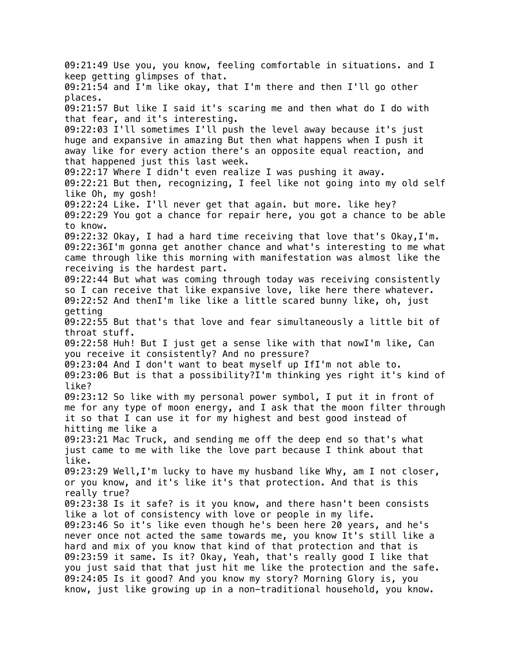09:21:49 Use you, you know, feeling comfortable in situations. and I keep getting glimpses of that. 09:21:54 and I'm like okay, that I'm there and then I'll go other places. 09:21:57 But like I said it's scaring me and then what do I do with that fear, and it's interesting. 09:22:03 I'll sometimes I'll push the level away because it's just huge and expansive in amazing But then what happens when I push it away like for every action there's an opposite equal reaction, and that happened just this last week. 09:22:17 Where I didn't even realize I was pushing it away. 09:22:21 But then, recognizing, I feel like not going into my old self like Oh, my gosh! 09:22:24 Like. I'll never get that again. but more. like hey? 09:22:29 You got a chance for repair here, you got a chance to be able to know. 09:22:32 Okay, I had a hard time receiving that love that's Okay,I'm. 09:22:36I'm gonna get another chance and what's interesting to me what came through like this morning with manifestation was almost like the receiving is the hardest part. 09:22:44 But what was coming through today was receiving consistently so I can receive that like expansive love, like here there whatever. 09:22:52 And thenI'm like like a little scared bunny like, oh, just getting 09:22:55 But that's that love and fear simultaneously a little bit of throat stuff. 09:22:58 Huh! But I just get a sense like with that nowI'm like, Can you receive it consistently? And no pressure? 09:23:04 And I don't want to beat myself up IfI'm not able to. 09:23:06 But is that a possibility?I'm thinking yes right it's kind of like? 09:23:12 So like with my personal power symbol, I put it in front of me for any type of moon energy, and I ask that the moon filter through it so that I can use it for my highest and best good instead of hitting me like a 09:23:21 Mac Truck, and sending me off the deep end so that's what just came to me with like the love part because I think about that like. 09:23:29 Well,I'm lucky to have my husband like Why, am I not closer, or you know, and it's like it's that protection. And that is this really true? 09:23:38 Is it safe? is it you know, and there hasn't been consists like a lot of consistency with love or people in my life. 09:23:46 So it's like even though he's been here 20 years, and he's never once not acted the same towards me, you know It's still like a hard and mix of you know that kind of that protection and that is 09:23:59 it same. Is it? Okay, Yeah, that's really good I like that you just said that that just hit me like the protection and the safe. 09:24:05 Is it good? And you know my story? Morning Glory is, you know, just like growing up in a non-traditional household, you know.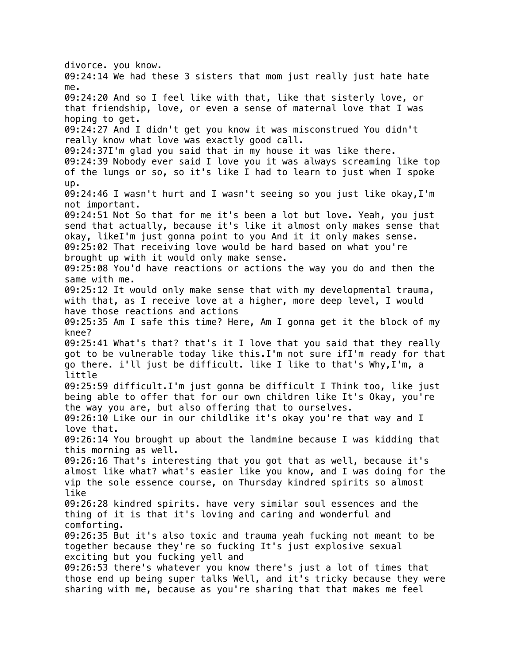divorce. you know. 09:24:14 We had these 3 sisters that mom just really just hate hate me. 09:24:20 And so I feel like with that, like that sisterly love, or that friendship, love, or even a sense of maternal love that I was hoping to get. 09:24:27 And I didn't get you know it was misconstrued You didn't really know what love was exactly good call. 09:24:37I'm glad you said that in my house it was like there. 09:24:39 Nobody ever said I love you it was always screaming like top of the lungs or so, so it's like I had to learn to just when I spoke up. 09:24:46 I wasn't hurt and I wasn't seeing so you just like okay,I'm not important. 09:24:51 Not So that for me it's been a lot but love. Yeah, you just send that actually, because it's like it almost only makes sense that okay, likeI'm just gonna point to you And it it only makes sense. 09:25:02 That receiving love would be hard based on what you're brought up with it would only make sense. 09:25:08 You'd have reactions or actions the way you do and then the same with me. 09:25:12 It would only make sense that with my developmental trauma, with that, as I receive love at a higher, more deep level, I would have those reactions and actions 09:25:35 Am I safe this time? Here, Am I gonna get it the block of my knee? 09:25:41 What's that? that's it I love that you said that they really got to be vulnerable today like this.I'm not sure ifI'm ready for that go there. i'll just be difficult. like I like to that's Why,I'm, a little 09:25:59 difficult.I'm just gonna be difficult I Think too, like just being able to offer that for our own children like It's Okay, you're the way you are, but also offering that to ourselves. 09:26:10 Like our in our childlike it's okay you're that way and I love that. 09:26:14 You brought up about the landmine because I was kidding that this morning as well. 09:26:16 That's interesting that you got that as well, because it's almost like what? what's easier like you know, and I was doing for the vip the sole essence course, on Thursday kindred spirits so almost like 09:26:28 kindred spirits. have very similar soul essences and the thing of it is that it's loving and caring and wonderful and comforting. 09:26:35 But it's also toxic and trauma yeah fucking not meant to be together because they're so fucking It's just explosive sexual exciting but you fucking yell and 09:26:53 there's whatever you know there's just a lot of times that those end up being super talks Well, and it's tricky because they were sharing with me, because as you're sharing that that makes me feel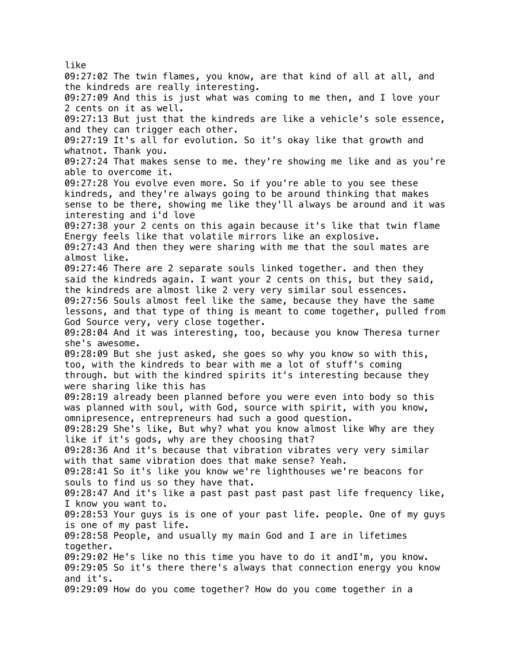like 09:27:02 The twin flames, you know, are that kind of all at all, and the kindreds are really interesting. 09:27:09 And this is just what was coming to me then, and I love your 2 cents on it as well. 09:27:13 But just that the kindreds are like a vehicle's sole essence, and they can trigger each other. 09:27:19 It's all for evolution. So it's okay like that growth and whatnot. Thank you. 09:27:24 That makes sense to me. they're showing me like and as you're able to overcome it. 09:27:28 You evolve even more. So if you're able to you see these kindreds, and they're always going to be around thinking that makes sense to be there, showing me like they'll always be around and it was interesting and i'd love 09:27:38 your 2 cents on this again because it's like that twin flame Energy feels like that volatile mirrors like an explosive. 09:27:43 And then they were sharing with me that the soul mates are almost like. 09:27:46 There are 2 separate souls linked together. and then they said the kindreds again. I want your 2 cents on this, but they said, the kindreds are almost like 2 very very similar soul essences. 09:27:56 Souls almost feel like the same, because they have the same lessons, and that type of thing is meant to come together, pulled from God Source very, very close together. 09:28:04 And it was interesting, too, because you know Theresa turner she's awesome. 09:28:09 But she just asked, she goes so why you know so with this, too, with the kindreds to bear with me a lot of stuff's coming through. but with the kindred spirits it's interesting because they were sharing like this has 09:28:19 already been planned before you were even into body so this was planned with soul, with God, source with spirit, with you know, omnipresence, entrepreneurs had such a good question. 09:28:29 She's like, But why? what you know almost like Why are they like if it's gods, why are they choosing that? 09:28:36 And it's because that vibration vibrates very very similar with that same vibration does that make sense? Yeah. 09:28:41 So it's like you know we're lighthouses we're beacons for souls to find us so they have that. 09:28:47 And it's like a past past past past past life frequency like, I know you want to. 09:28:53 Your guys is is one of your past life. people. One of my guys is one of my past life. 09:28:58 People, and usually my main God and I are in lifetimes together. 09:29:02 He's like no this time you have to do it andI'm, you know. 09:29:05 So it's there there's always that connection energy you know and it's. 09:29:09 How do you come together? How do you come together in a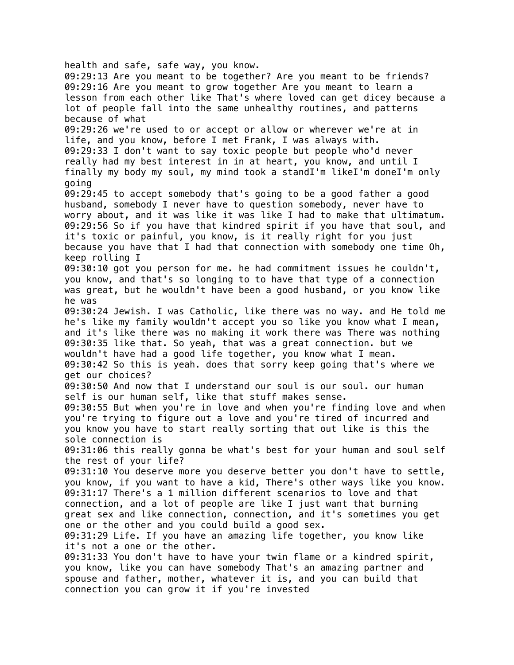health and safe, safe way, you know. 09:29:13 Are you meant to be together? Are you meant to be friends? 09:29:16 Are you meant to grow together Are you meant to learn a lesson from each other like That's where loved can get dicey because a lot of people fall into the same unhealthy routines, and patterns because of what 09:29:26 we're used to or accept or allow or wherever we're at in life, and you know, before I met Frank, I was always with. 09:29:33 I don't want to say toxic people but people who'd never really had my best interest in in at heart, you know, and until I finally my body my soul, my mind took a standI'm likeI'm doneI'm only going 09:29:45 to accept somebody that's going to be a good father a good husband, somebody I never have to question somebody, never have to worry about, and it was like it was like I had to make that ultimatum. 09:29:56 So if you have that kindred spirit if you have that soul, and it's toxic or painful, you know, is it really right for you just because you have that I had that connection with somebody one time Oh, keep rolling I 09:30:10 got you person for me. he had commitment issues he couldn't, you know, and that's so longing to to have that type of a connection was great, but he wouldn't have been a good husband, or you know like he was 09:30:24 Jewish. I was Catholic, like there was no way. and He told me he's like my family wouldn't accept you so like you know what I mean, and it's like there was no making it work there was There was nothing 09:30:35 like that. So yeah, that was a great connection. but we wouldn't have had a good life together, you know what I mean. 09:30:42 So this is yeah. does that sorry keep going that's where we get our choices? 09:30:50 And now that I understand our soul is our soul. our human self is our human self, like that stuff makes sense. 09:30:55 But when you're in love and when you're finding love and when you're trying to figure out a love and you're tired of incurred and you know you have to start really sorting that out like is this the sole connection is 09:31:06 this really gonna be what's best for your human and soul self the rest of your life? 09:31:10 You deserve more you deserve better you don't have to settle, you know, if you want to have a kid, There's other ways like you know. 09:31:17 There's a 1 million different scenarios to love and that connection, and a lot of people are like I just want that burning great sex and like connection, connection, and it's sometimes you get one or the other and you could build a good sex. 09:31:29 Life. If you have an amazing life together, you know like it's not a one or the other. 09:31:33 You don't have to have your twin flame or a kindred spirit, you know, like you can have somebody That's an amazing partner and spouse and father, mother, whatever it is, and you can build that connection you can grow it if you're invested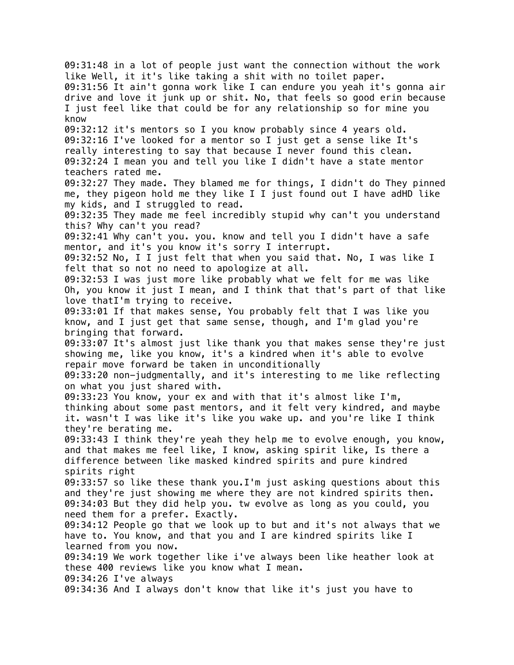09:31:48 in a lot of people just want the connection without the work like Well, it it's like taking a shit with no toilet paper. 09:31:56 It ain't gonna work like I can endure you yeah it's gonna air drive and love it junk up or shit. No, that feels so good erin because I just feel like that could be for any relationship so for mine you know 09:32:12 it's mentors so I you know probably since 4 years old. 09:32:16 I've looked for a mentor so I just get a sense like It's really interesting to say that because I never found this clean. 09:32:24 I mean you and tell you like I didn't have a state mentor teachers rated me. 09:32:27 They made. They blamed me for things, I didn't do They pinned me, they pigeon hold me they like I I just found out I have adHD like my kids, and I struggled to read. 09:32:35 They made me feel incredibly stupid why can't you understand this? Why can't you read? 09:32:41 Why can't you. you. know and tell you I didn't have a safe mentor, and it's you know it's sorry I interrupt. 09:32:52 No, I I just felt that when you said that. No, I was like I felt that so not no need to apologize at all. 09:32:53 I was just more like probably what we felt for me was like Oh, you know it just I mean, and I think that that's part of that like love thatI'm trying to receive. 09:33:01 If that makes sense, You probably felt that I was like you know, and I just get that same sense, though, and I'm glad you're bringing that forward. 09:33:07 It's almost just like thank you that makes sense they're just showing me, like you know, it's a kindred when it's able to evolve repair move forward be taken in unconditionally 09:33:20 non-judgmentally, and it's interesting to me like reflecting on what you just shared with. 09:33:23 You know, your ex and with that it's almost like I'm, thinking about some past mentors, and it felt very kindred, and maybe it. wasn't I was like it's like you wake up. and you're like I think they're berating me. 09:33:43 I think they're yeah they help me to evolve enough, you know, and that makes me feel like, I know, asking spirit like, Is there a difference between like masked kindred spirits and pure kindred spirits right 09:33:57 so like these thank you.I'm just asking questions about this and they're just showing me where they are not kindred spirits then. 09:34:03 But they did help you. tw evolve as long as you could, you need them for a prefer. Exactly. 09:34:12 People go that we look up to but and it's not always that we have to. You know, and that you and I are kindred spirits like I learned from you now. 09:34:19 We work together like i've always been like heather look at these 400 reviews like you know what I mean. 09:34:26 I've always 09:34:36 And I always don't know that like it's just you have to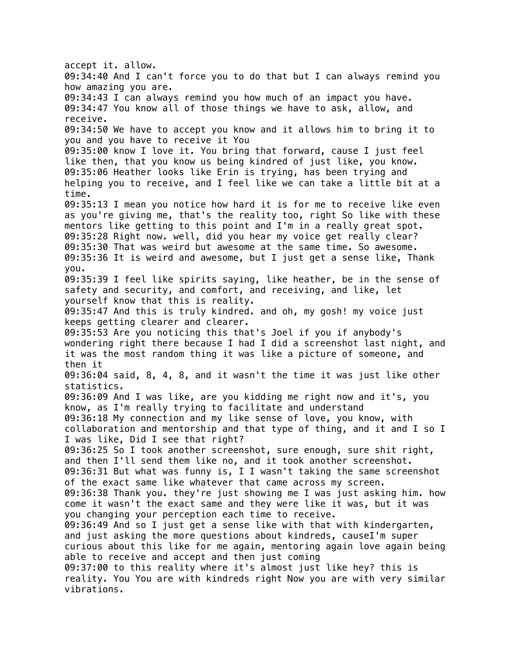accept it. allow. 09:34:40 And I can't force you to do that but I can always remind you how amazing you are. 09:34:43 I can always remind you how much of an impact you have. 09:34:47 You know all of those things we have to ask, allow, and receive. 09:34:50 We have to accept you know and it allows him to bring it to you and you have to receive it You 09:35:00 know I love it. You bring that forward, cause I just feel like then, that you know us being kindred of just like, you know. 09:35:06 Heather looks like Erin is trying, has been trying and helping you to receive, and I feel like we can take a little bit at a time. 09:35:13 I mean you notice how hard it is for me to receive like even as you're giving me, that's the reality too, right So like with these mentors like getting to this point and I'm in a really great spot. 09:35:28 Right now. well, did you hear my voice get really clear? 09:35:30 That was weird but awesome at the same time. So awesome. 09:35:36 It is weird and awesome, but I just get a sense like, Thank you. 09:35:39 I feel like spirits saying, like heather, be in the sense of safety and security, and comfort, and receiving, and like, let yourself know that this is reality. 09:35:47 And this is truly kindred. and oh, my gosh! my voice just keeps getting clearer and clearer. 09:35:53 Are you noticing this that's Joel if you if anybody's wondering right there because I had I did a screenshot last night, and it was the most random thing it was like a picture of someone, and then it 09:36:04 said, 8, 4, 8, and it wasn't the time it was just like other statistics. 09:36:09 And I was like, are you kidding me right now and it's, you know, as I'm really trying to facilitate and understand 09:36:18 My connection and my like sense of love, you know, with collaboration and mentorship and that type of thing, and it and I so I I was like, Did I see that right? 09:36:25 So I took another screenshot, sure enough, sure shit right, and then I'll send them like no, and it took another screenshot. 09:36:31 But what was funny is, I I wasn't taking the same screenshot of the exact same like whatever that came across my screen. 09:36:38 Thank you. they're just showing me I was just asking him. how come it wasn't the exact same and they were like it was, but it was you changing your perception each time to receive. 09:36:49 And so I just get a sense like with that with kindergarten, and just asking the more questions about kindreds, causeI'm super curious about this like for me again, mentoring again love again being able to receive and accept and then just coming 09:37:00 to this reality where it's almost just like hey? this is reality. You You are with kindreds right Now you are with very similar vibrations.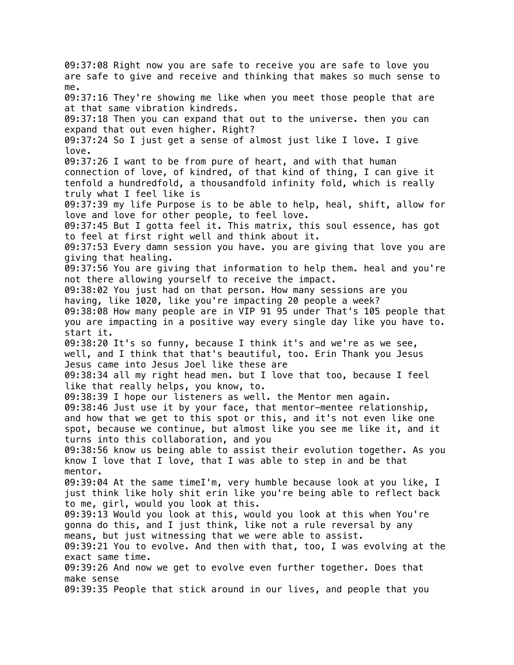09:37:08 Right now you are safe to receive you are safe to love you are safe to give and receive and thinking that makes so much sense to me. 09:37:16 They're showing me like when you meet those people that are at that same vibration kindreds. 09:37:18 Then you can expand that out to the universe. then you can expand that out even higher. Right? 09:37:24 So I just get a sense of almost just like I love. I give love. 09:37:26 I want to be from pure of heart, and with that human connection of love, of kindred, of that kind of thing, I can give it tenfold a hundredfold, a thousandfold infinity fold, which is really truly what I feel like is 09:37:39 my life Purpose is to be able to help, heal, shift, allow for love and love for other people, to feel love. 09:37:45 But I gotta feel it. This matrix, this soul essence, has got to feel at first right well and think about it. 09:37:53 Every damn session you have. you are giving that love you are giving that healing. 09:37:56 You are giving that information to help them. heal and you're not there allowing yourself to receive the impact. 09:38:02 You just had on that person. How many sessions are you having, like 1020, like you're impacting 20 people a week? 09:38:08 How many people are in VIP 91 95 under That's 105 people that you are impacting in a positive way every single day like you have to. start it. 09:38:20 It's so funny, because I think it's and we're as we see, well, and I think that that's beautiful, too. Erin Thank you Jesus Jesus came into Jesus Joel like these are 09:38:34 all my right head men. but I love that too, because I feel like that really helps, you know, to. 09:38:39 I hope our listeners as well. the Mentor men again. 09:38:46 Just use it by your face, that mentor-mentee relationship, and how that we get to this spot or this, and it's not even like one spot, because we continue, but almost like you see me like it, and it turns into this collaboration, and you 09:38:56 know us being able to assist their evolution together. As you know I love that I love, that I was able to step in and be that mentor. 09:39:04 At the same timeI'm, very humble because look at you like, I just think like holy shit erin like you're being able to reflect back to me, girl, would you look at this. 09:39:13 Would you look at this, would you look at this when You're gonna do this, and I just think, like not a rule reversal by any means, but just witnessing that we were able to assist. 09:39:21 You to evolve. And then with that, too, I was evolving at the exact same time. 09:39:26 And now we get to evolve even further together. Does that make sense 09:39:35 People that stick around in our lives, and people that you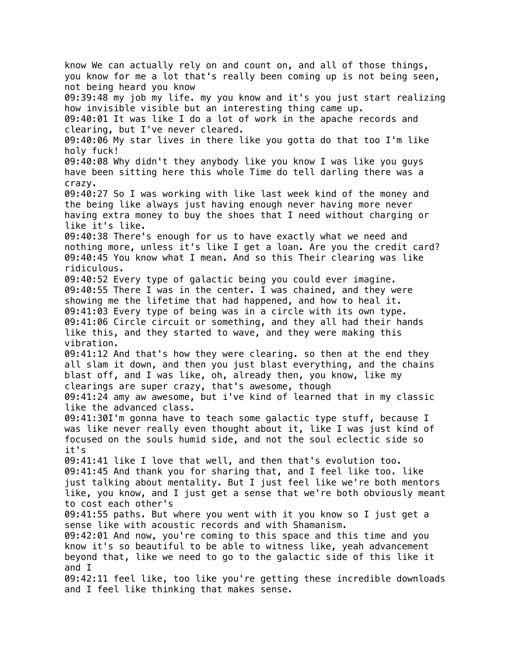know We can actually rely on and count on, and all of those things, you know for me a lot that's really been coming up is not being seen, not being heard you know 09:39:48 my job my life. my you know and it's you just start realizing how invisible visible but an interesting thing came up. 09:40:01 It was like I do a lot of work in the apache records and clearing, but I've never cleared. 09:40:06 My star lives in there like you gotta do that too I'm like holy fuck! 09:40:08 Why didn't they anybody like you know I was like you guys have been sitting here this whole Time do tell darling there was a crazy. 09:40:27 So I was working with like last week kind of the money and the being like always just having enough never having more never having extra money to buy the shoes that I need without charging or like it's like. 09:40:38 There's enough for us to have exactly what we need and nothing more, unless it's like I get a loan. Are you the credit card? 09:40:45 You know what I mean. And so this Their clearing was like ridiculous. 09:40:52 Every type of galactic being you could ever imagine. 09:40:55 There I was in the center. I was chained, and they were showing me the lifetime that had happened, and how to heal it. 09:41:03 Every type of being was in a circle with its own type. 09:41:06 Circle circuit or something, and they all had their hands like this, and they started to wave, and they were making this vibration. 09:41:12 And that's how they were clearing. so then at the end they all slam it down, and then you just blast everything, and the chains blast off, and I was like, oh, already then, you know, like my clearings are super crazy, that's awesome, though 09:41:24 amy aw awesome, but i've kind of learned that in my classic like the advanced class. 09:41:30I'm gonna have to teach some galactic type stuff, because I was like never really even thought about it, like I was just kind of focused on the souls humid side, and not the soul eclectic side so it's 09:41:41 like I love that well, and then that's evolution too. 09:41:45 And thank you for sharing that, and I feel like too. like just talking about mentality. But I just feel like we're both mentors like, you know, and I just get a sense that we're both obviously meant to cost each other's 09:41:55 paths. But where you went with it you know so I just get a sense like with acoustic records and with Shamanism. 09:42:01 And now, you're coming to this space and this time and you know it's so beautiful to be able to witness like, yeah advancement beyond that, like we need to go to the galactic side of this like it and I 09:42:11 feel like, too like you're getting these incredible downloads and I feel like thinking that makes sense.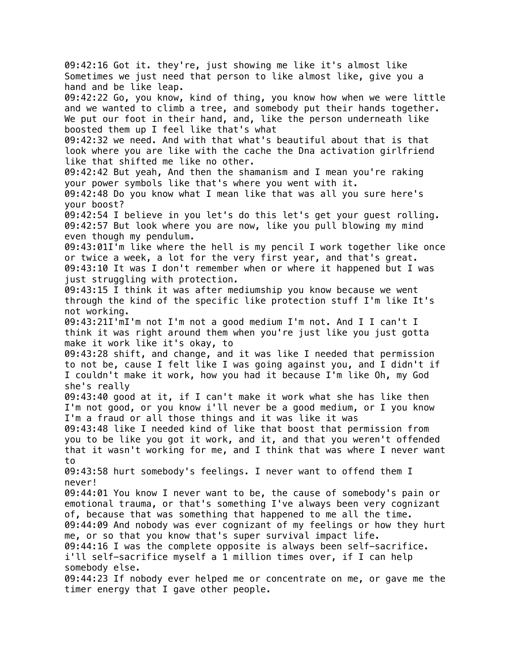09:42:16 Got it. they're, just showing me like it's almost like Sometimes we just need that person to like almost like, give you a hand and be like leap. 09:42:22 Go, you know, kind of thing, you know how when we were little and we wanted to climb a tree, and somebody put their hands together. We put our foot in their hand, and, like the person underneath like boosted them up I feel like that's what 09:42:32 we need. And with that what's beautiful about that is that look where you are like with the cache the Dna activation girlfriend like that shifted me like no other. 09:42:42 But yeah, And then the shamanism and I mean you're raking your power symbols like that's where you went with it. 09:42:48 Do you know what I mean like that was all you sure here's your boost? 09:42:54 I believe in you let's do this let's get your guest rolling. 09:42:57 But look where you are now, like you pull blowing my mind even though my pendulum. 09:43:01I'm like where the hell is my pencil I work together like once or twice a week, a lot for the very first year, and that's great. 09:43:10 It was I don't remember when or where it happened but I was just struggling with protection. 09:43:15 I think it was after mediumship you know because we went through the kind of the specific like protection stuff I'm like It's not working. 09:43:21I'mI'm not I'm not a good medium I'm not. And I I can't I think it was right around them when you're just like you just gotta make it work like it's okay, to 09:43:28 shift, and change, and it was like I needed that permission to not be, cause I felt like I was going against you, and I didn't if I couldn't make it work, how you had it because I'm like Oh, my God she's really 09:43:40 good at it, if I can't make it work what she has like then I'm not good, or you know i'll never be a good medium, or I you know I'm a fraud or all those things and it was like it was 09:43:48 like I needed kind of like that boost that permission from you to be like you got it work, and it, and that you weren't offended that it wasn't working for me, and I think that was where I never want to 09:43:58 hurt somebody's feelings. I never want to offend them I never! 09:44:01 You know I never want to be, the cause of somebody's pain or emotional trauma, or that's something I've always been very cognizant of, because that was something that happened to me all the time. 09:44:09 And nobody was ever cognizant of my feelings or how they hurt me, or so that you know that's super survival impact life. 09:44:16 I was the complete opposite is always been self-sacrifice. i'll self-sacrifice myself a 1 million times over, if I can help somebody else. 09:44:23 If nobody ever helped me or concentrate on me, or gave me the timer energy that I gave other people.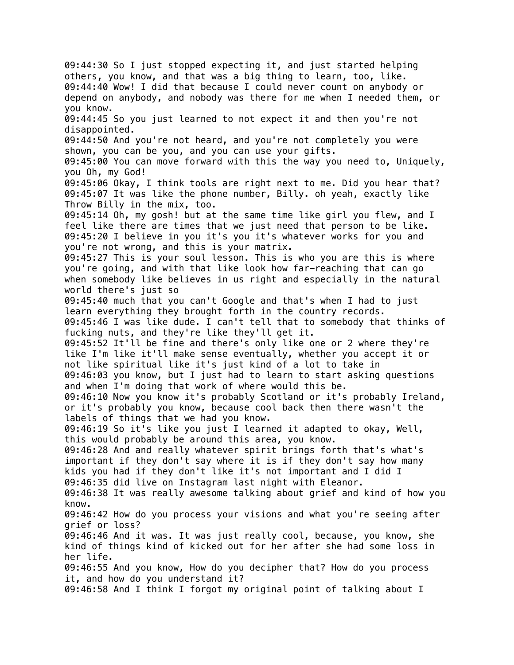09:44:30 So I just stopped expecting it, and just started helping others, you know, and that was a big thing to learn, too, like. 09:44:40 Wow! I did that because I could never count on anybody or depend on anybody, and nobody was there for me when I needed them, or you know. 09:44:45 So you just learned to not expect it and then you're not disappointed. 09:44:50 And you're not heard, and you're not completely you were shown, you can be you, and you can use your gifts. 09:45:00 You can move forward with this the way you need to, Uniquely, you Oh, my God! 09:45:06 Okay, I think tools are right next to me. Did you hear that? 09:45:07 It was like the phone number, Billy. oh yeah, exactly like Throw Billy in the mix, too. 09:45:14 Oh, my gosh! but at the same time like girl you flew, and I feel like there are times that we just need that person to be like. 09:45:20 I believe in you it's you it's whatever works for you and you're not wrong, and this is your matrix. 09:45:27 This is your soul lesson. This is who you are this is where you're going, and with that like look how far-reaching that can go when somebody like believes in us right and especially in the natural world there's just so 09:45:40 much that you can't Google and that's when I had to just learn everything they brought forth in the country records. 09:45:46 I was like dude. I can't tell that to somebody that thinks of fucking nuts, and they're like they'll get it. 09:45:52 It'll be fine and there's only like one or 2 where they're like I'm like it'll make sense eventually, whether you accept it or not like spiritual like it's just kind of a lot to take in 09:46:03 you know, but I just had to learn to start asking questions and when I'm doing that work of where would this be. 09:46:10 Now you know it's probably Scotland or it's probably Ireland, or it's probably you know, because cool back then there wasn't the labels of things that we had you know. 09:46:19 So it's like you just I learned it adapted to okay, Well, this would probably be around this area, you know. 09:46:28 And and really whatever spirit brings forth that's what's important if they don't say where it is if they don't say how many kids you had if they don't like it's not important and I did I 09:46:35 did live on Instagram last night with Eleanor. 09:46:38 It was really awesome talking about grief and kind of how you know. 09:46:42 How do you process your visions and what you're seeing after grief or loss? 09:46:46 And it was. It was just really cool, because, you know, she kind of things kind of kicked out for her after she had some loss in her life. 09:46:55 And you know, How do you decipher that? How do you process it, and how do you understand it? 09:46:58 And I think I forgot my original point of talking about I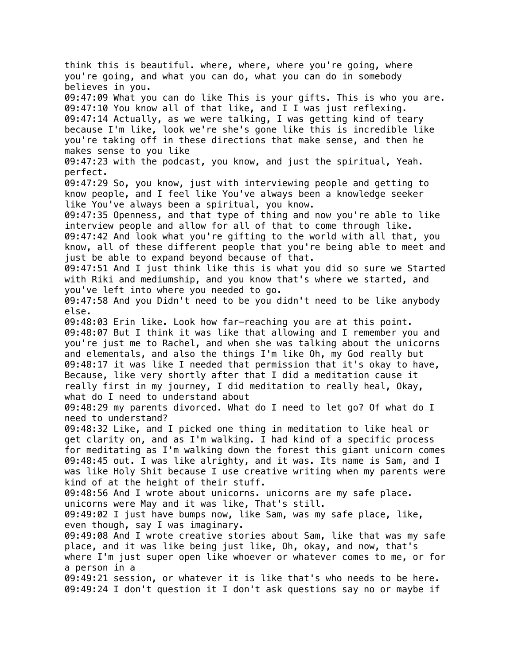think this is beautiful. where, where, where you're going, where you're going, and what you can do, what you can do in somebody believes in you. 09:47:09 What you can do like This is your gifts. This is who you are. 09:47:10 You know all of that like, and I I was just reflexing. 09:47:14 Actually, as we were talking, I was getting kind of teary because I'm like, look we're she's gone like this is incredible like you're taking off in these directions that make sense, and then he makes sense to you like 09:47:23 with the podcast, you know, and just the spiritual, Yeah. perfect. 09:47:29 So, you know, just with interviewing people and getting to know people, and I feel like You've always been a knowledge seeker like You've always been a spiritual, you know. 09:47:35 Openness, and that type of thing and now you're able to like interview people and allow for all of that to come through like. 09:47:42 And look what you're gifting to the world with all that, you know, all of these different people that you're being able to meet and just be able to expand beyond because of that. 09:47:51 And I just think like this is what you did so sure we Started with Riki and mediumship, and you know that's where we started, and you've left into where you needed to go. 09:47:58 And you Didn't need to be you didn't need to be like anybody else. 09:48:03 Erin like. Look how far-reaching you are at this point. 09:48:07 But I think it was like that allowing and I remember you and you're just me to Rachel, and when she was talking about the unicorns and elementals, and also the things I'm like Oh, my God really but 09:48:17 it was like I needed that permission that it's okay to have, Because, like very shortly after that I did a meditation cause it really first in my journey, I did meditation to really heal, Okay, what do I need to understand about 09:48:29 my parents divorced. What do I need to let go? Of what do I need to understand? 09:48:32 Like, and I picked one thing in meditation to like heal or get clarity on, and as I'm walking. I had kind of a specific process for meditating as I'm walking down the forest this giant unicorn comes 09:48:45 out. I was like alrighty, and it was. Its name is Sam, and I was like Holy Shit because I use creative writing when my parents were kind of at the height of their stuff. 09:48:56 And I wrote about unicorns. unicorns are my safe place. unicorns were May and it was like, That's still. 09:49:02 I just have bumps now, like Sam, was my safe place, like, even though, say I was imaginary. 09:49:08 And I wrote creative stories about Sam, like that was my safe place, and it was like being just like, Oh, okay, and now, that's where I'm just super open like whoever or whatever comes to me, or for a person in a 09:49:21 session, or whatever it is like that's who needs to be here. 09:49:24 I don't question it I don't ask questions say no or maybe if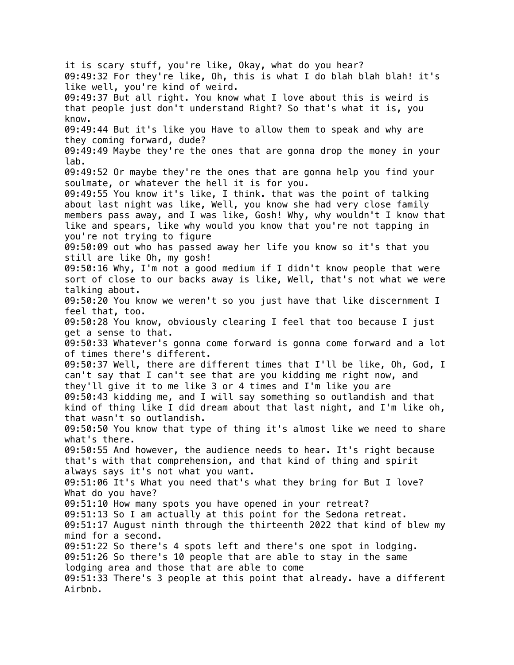it is scary stuff, you're like, Okay, what do you hear? 09:49:32 For they're like, Oh, this is what I do blah blah blah! it's like well, you're kind of weird. 09:49:37 But all right. You know what I love about this is weird is that people just don't understand Right? So that's what it is, you know. 09:49:44 But it's like you Have to allow them to speak and why are they coming forward, dude? 09:49:49 Maybe they're the ones that are gonna drop the money in your lab. 09:49:52 Or maybe they're the ones that are gonna help you find your soulmate, or whatever the hell it is for you. 09:49:55 You know it's like, I think. that was the point of talking about last night was like, Well, you know she had very close family members pass away, and I was like, Gosh! Why, why wouldn't I know that like and spears, like why would you know that you're not tapping in you're not trying to figure 09:50:09 out who has passed away her life you know so it's that you still are like Oh, my gosh! 09:50:16 Why, I'm not a good medium if I didn't know people that were sort of close to our backs away is like, Well, that's not what we were talking about. 09:50:20 You know we weren't so you just have that like discernment I feel that, too. 09:50:28 You know, obviously clearing I feel that too because I just get a sense to that. 09:50:33 Whatever's gonna come forward is gonna come forward and a lot of times there's different. 09:50:37 Well, there are different times that I'll be like, Oh, God, I can't say that I can't see that are you kidding me right now, and they'll give it to me like 3 or 4 times and I'm like you are 09:50:43 kidding me, and I will say something so outlandish and that kind of thing like I did dream about that last night, and I'm like oh, that wasn't so outlandish. 09:50:50 You know that type of thing it's almost like we need to share what's there. 09:50:55 And however, the audience needs to hear. It's right because that's with that comprehension, and that kind of thing and spirit always says it's not what you want. 09:51:06 It's What you need that's what they bring for But I love? What do you have? 09:51:10 How many spots you have opened in your retreat? 09:51:13 So I am actually at this point for the Sedona retreat. 09:51:17 August ninth through the thirteenth 2022 that kind of blew my mind for a second. 09:51:22 So there's 4 spots left and there's one spot in lodging. 09:51:26 So there's 10 people that are able to stay in the same lodging area and those that are able to come 09:51:33 There's 3 people at this point that already. have a different Airbnb.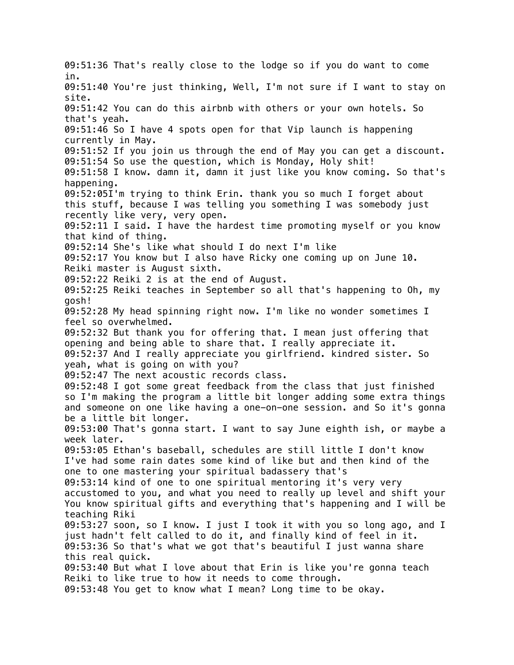09:51:36 That's really close to the lodge so if you do want to come in. 09:51:40 You're just thinking, Well, I'm not sure if I want to stay on site. 09:51:42 You can do this airbnb with others or your own hotels. So that's yeah. 09:51:46 So I have 4 spots open for that Vip launch is happening currently in May. 09:51:52 If you join us through the end of May you can get a discount. 09:51:54 So use the question, which is Monday, Holy shit! 09:51:58 I know. damn it, damn it just like you know coming. So that's happening. 09:52:05I'm trying to think Erin. thank you so much I forget about this stuff, because I was telling you something I was somebody just recently like very, very open. 09:52:11 I said. I have the hardest time promoting myself or you know that kind of thing. 09:52:14 She's like what should I do next I'm like 09:52:17 You know but I also have Ricky one coming up on June 10. Reiki master is August sixth. 09:52:22 Reiki 2 is at the end of August. 09:52:25 Reiki teaches in September so all that's happening to Oh, my gosh! 09:52:28 My head spinning right now. I'm like no wonder sometimes I feel so overwhelmed. 09:52:32 But thank you for offering that. I mean just offering that opening and being able to share that. I really appreciate it. 09:52:37 And I really appreciate you girlfriend. kindred sister. So yeah, what is going on with you? 09:52:47 The next acoustic records class. 09:52:48 I got some great feedback from the class that just finished so I'm making the program a little bit longer adding some extra things and someone on one like having a one-on-one session. and So it's gonna be a little bit longer. 09:53:00 That's gonna start. I want to say June eighth ish, or maybe a week later. 09:53:05 Ethan's baseball, schedules are still little I don't know I've had some rain dates some kind of like but and then kind of the one to one mastering your spiritual badassery that's 09:53:14 kind of one to one spiritual mentoring it's very very accustomed to you, and what you need to really up level and shift your You know spiritual gifts and everything that's happening and I will be teaching Riki 09:53:27 soon, so I know. I just I took it with you so long ago, and I just hadn't felt called to do it, and finally kind of feel in it. 09:53:36 So that's what we got that's beautiful I just wanna share this real quick. 09:53:40 But what I love about that Erin is like you're gonna teach Reiki to like true to how it needs to come through. 09:53:48 You get to know what I mean? Long time to be okay.